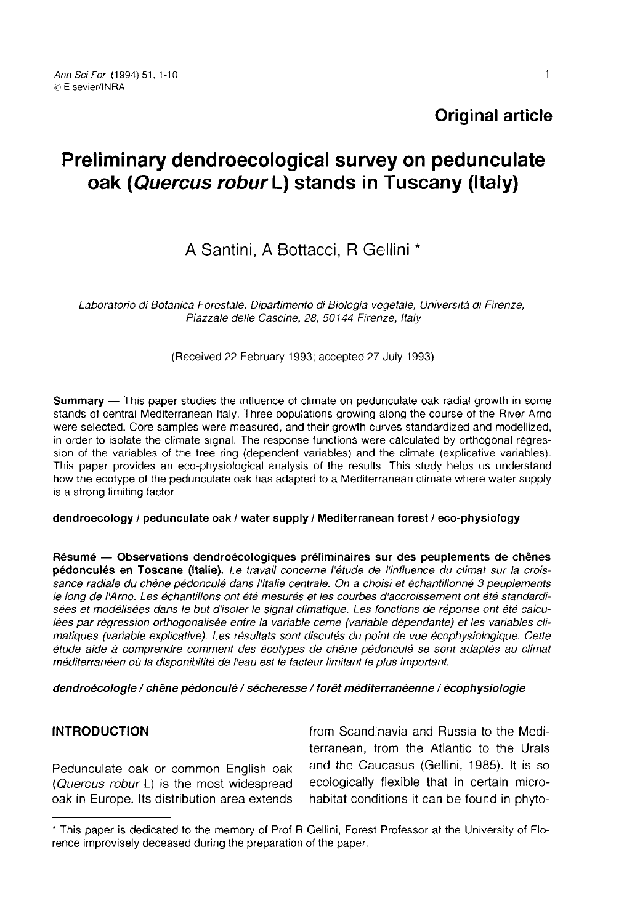# Preliminary dendroecological survey on pedunculate oak (Quercus robur L) stands in Tuscany (Italy)

# A Santini, A Bottacci, R Gellini

Laboratorio di Botanica Forestale, Dipartimento di Biologia vegetale, Università di Fírenze, Piazzale delle Cascine, 28, 50144 Firenze, Italy

(Received 22 February 1993; accepted 27 July 1993)

Summary — This paper studies the influence of climate on pedunculate oak radial growth in some stands of central Mediterranean Italy. Three populations growing along the course of the River Arno were selected. Core samples were measured, and their growth curves standardized and modellized, in order to isolate the climate signal. The response functions were calculated by orthogonal regression of the variables of the tree ring (dependent variables) and the climate (explicative variables). This paper provides an eco-physiological analysis of the results This study helps us understand how the ecotype of the pedunculate oak has adapted to a Mediterranean climate where water supply is a strong limiting factor.

#### dendroecology / pedunculate oak / water supply / Mediterranean forest / eco-physiology

Résumé — Observations dendroécologiques préliminaires sur des peuplements de chênes pédonculés en Toscane (Italie). Le travail concerne l'étude de l'influence du climat sur la croissance radiale du chêne pédonculé dans l'Italie centrale. On a choisi et échantillonné 3 peuplements le long de l'Arno. Les échantillons ont été mesurés et les courbes d'accroissement ont été standardisées et modélisées dans le but d'isoler le signal climatique. Les fonctions de réponse ont été calculées par régression orthogonalisée entre la variable cerne (variable dépendante) et les variables climatiques (variable explicative). Les résultats sont discutés du point de vue écophysiologique. Cette étude aide à comprendre comment des écotypes de chêne pédonculé se sont adaptés au climat méditerranéen où la disponibilité de l'eau est le facteur limitant le plus important.

dendroécologie / chêne pédonculé / sécheresse / forêt méditerranéenne / écophysiologie

## INTRODUCTION

Pedunculate oak or common English oak (Quercus robur L) is the most widespread oak in Europe. Its distribution area extends from Scandinavia and Russia to the Mediterranean, from the Atlantic to the Urals and the Caucasus (Gellini, 1985). It is so ecologically flexible that in certain microhabitat conditions it can be found in phyto-

<sup>\*</sup> This paper is dedicated to the memory of Prof R Gellini, Forest Professor at the University of Florence improvisely deceased during the preparation of the paper.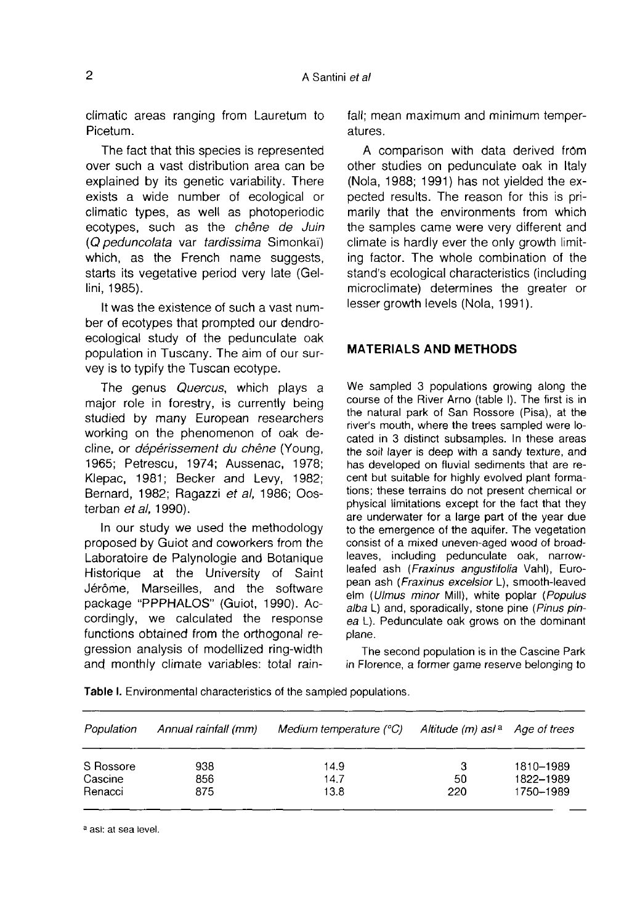climatic areas ranging from Lauretum to Picetum.

The fact that this species is represented over such a vast distribution area can be explained by its genetic variability. There exists a wide number of ecological or climatic types, as well as photoperiodic ecotypes, such as the chêne de Juin (Q peduncolata var tardissima Simonkaï) which, as the French name suggests, starts its vegetative period very late (Gellini, 1985).

It was the existence of such a vast number of ecotypes that prompted our dendroecological study of the pedunculate oak population in Tuscany. The aim of our survey is to typify the Tuscan ecotype.

The genus Quercus, which plays a major role in forestry, is currently being studied by many European researchers working on the phenomenon of oak decline, or dépérissement du chêne (Young, 1965; Petrescu, 1974; Aussenac, 1978; Klepac, 1981; Becker and Levy, 1982; Bernard, 1982; Ragazzi et al, 1986; Oosterban et al. 1990).

In our study we used the methodology proposed by Guiot and coworkers from the Laboratoire de Palynologie and Botanique Historique at the University of Saint Jérôme, Marseilles, and the software package "PPPHALOS" (Guiot, 1990). Accordingly, we calculated the response functions obtained from the orthogonal regression analysis of modellized ring-width and monthly climate variables: total rainfall; mean maximum and minimum temperatures.

A comparison with data derived from other studies on pedunculate oak in Italy (Nola, 1988; 1991) has not yielded the expected results. The reason for this is primarily that the environments from which the samples came were very different and climate is hardly ever the only growth limiting factor. The whole combination of the stand's ecological characteristics (including microclimate) determines the greater or lesser growth levels (Nola, 1991).

#### MATERIALS AND METHODS

We sampled 3 populations growing along the course of the River Arno (table I). The first is in the natural park of San Rossore (Pisa), at the river's mouth, where the trees sampled were located in 3 distinct subsamples. In these areas the soil layer is deep with a sandy texture, and has developed on fluvial sediments that are recent but suitable for highly evolved plant formations; these terrains do not present chemical or physical limitations except for the fact that they are underwater for a large part of the year due to the emergence of the aquifer. The vegetation consist of a mixed uneven-aged wood of broadleaves, including pedunculate oak, narrowleafed ash (Fraxinus angustifolia Vahl), European ash (Fraxinus excelsior L), smooth-leaved elm (Ulmus minor Mill), white poplar (Populus alba L) and, sporadically, stone pine (Pinus pinea L). Pedunculate oak grows on the dominant plane.

The second population is in the Cascine Park in Florence, a former game reserve belonging to

| Population | Annual rainfall (mm) | Medium temperature (°C) | Altitude (m) asl <sup>a</sup> | Age of trees |
|------------|----------------------|-------------------------|-------------------------------|--------------|
| S Rossore  | 938                  | 14.9                    | з                             | 1810-1989    |
| Cascine    | 856                  | 14.7                    | 50                            | 1822-1989    |
| Renacci    | 875                  | 13.8                    | 220                           | 1750-1989    |

a asi: at sea level.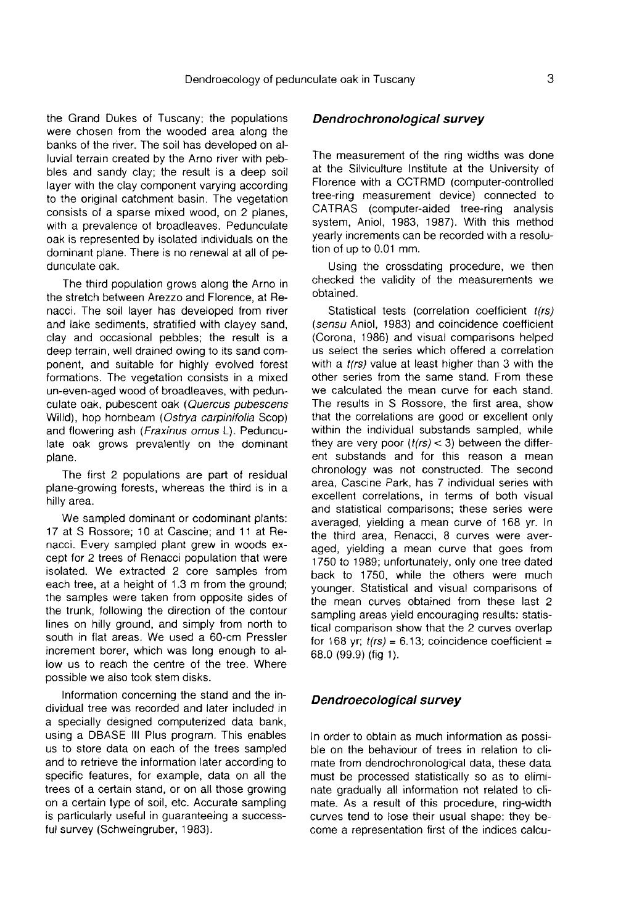the Grand Dukes of Tuscany; the populations were chosen from the wooded area along the banks of the river. The soil has developed on alluvial terrain created by the Arno river with pebbles and sandy clay; the result is a deep soil layer with the clay component varying according to the original catchment basin. The vegetation consists of a sparse mixed wood, on 2 planes, with a prevalence of broadleaves. Pedunculate oak is represented by isolated individuals on the dominant plane. There is no renewal at all of pedunculate oak.

The third population grows along the Arno in the stretch between Arezzo and Florence, at Renacci. The soil layer has developed from river and lake sediments, stratified with clayey sand, clay and occasional pebbles; the result is a deep terrain, well drained owing to its sand component, and suitable for highly evolved forest formations. The vegetation consists in a mixed un-even-aged wood of broadleaves, with pedunculate oak, pubescent oak (Quercus pubescens Willd), hop hornbeam (Ostrya carpinifolia Scop) and flowering ash (Fraxinus ornus L). Pedunculate oak grows prevalently on the dominant plane.

The first 2 populations are part of residual plane-growing forests, whereas the third is in a hilly area.

We sampled dominant or codominant plants: 17 at S Rossore; 10 at Cascine; and 11 at Renacci. Every sampled plant grew in woods except for 2 trees of Renacci population that were isolated. We extracted 2 core samples from each tree, at a height of 1.3 m from the ground; the samples were taken from opposite sides of the trunk, following the direction of the contour lines on hilly ground, and simply from north to south in flat areas. We used a 60-cm Pressler increment borer, which was long enough to allow us to reach the centre of the tree. Where possible we also took stem disks.

Information concerning the stand and the individual tree was recorded and later included in a specially designed computerized data bank, using a DBASE III Plus program. This enables us to store data on each of the trees sampled and to retrieve the information later according to specific features, for example, data on all the trees of a certain stand, or on all those growing on a certain type of soil, etc. Accurate sampling is particularly useful in guaranteeing a successful survey (Schweingruber, 1983).

#### Dendrochronological survey

The measurement of the ring widths was done at the Silviculture Institute at the University of Florence with a CCTRMD (computer-controlled tree-ring measurement device) connected to CATRAS (computer-aided tree-ring analysis system, Aniol, 1983, 1987). With this method yearly increments can be recorded with a resolution of up to 0.01 mm.

Using the crossdating procedure, we then checked the validity of the measurements we obtained.

Statistical tests (correlation coefficient t(rs) (sensu Aniol, 1983) and coincidence coefficient (Corona, 1986) and visual comparisons helped us select the series which offered a correlation with a *t(rs)* value at least higher than 3 with the other series from the same stand. From these we calculated the mean curve for each stand. The results in S Rossore, the first area, show that the correlations are good or excellent only within the individual substands sampled, while they are very poor  $(t(rs) < 3)$  between the different substands and for this reason a mean chronology was not constructed. The second area, Cascine Park, has 7 individual series with excellent correlations, in terms of both visual and statistical comparisons; these series were averaged, yielding a mean curve of 168 yr. In the third area, Renacci, 8 curves were averaged, yielding a mean curve that goes from 1750 to 1989; unfortunately, only one tree dated back to 1750, while the others were much younger. Statistical and visual comparisons of the mean curves obtained from these last 2 sampling areas yield encouraging results: statistical comparison show that the 2 curves overlap for 168 yr;  $t(rs) = 6.13$ ; coincidence coefficient = 68.0 (99.9) (fig 1).

#### Dendroecological survey

In order to obtain as much information as possible on the behaviour of trees in relation to climate from dendrochronological data, these data must be processed statistically so as to eliminate gradually all information not related to climate. As a result of this procedure, ring-width curves tend to lose their usual shape: they become a representation first of the indices calcu-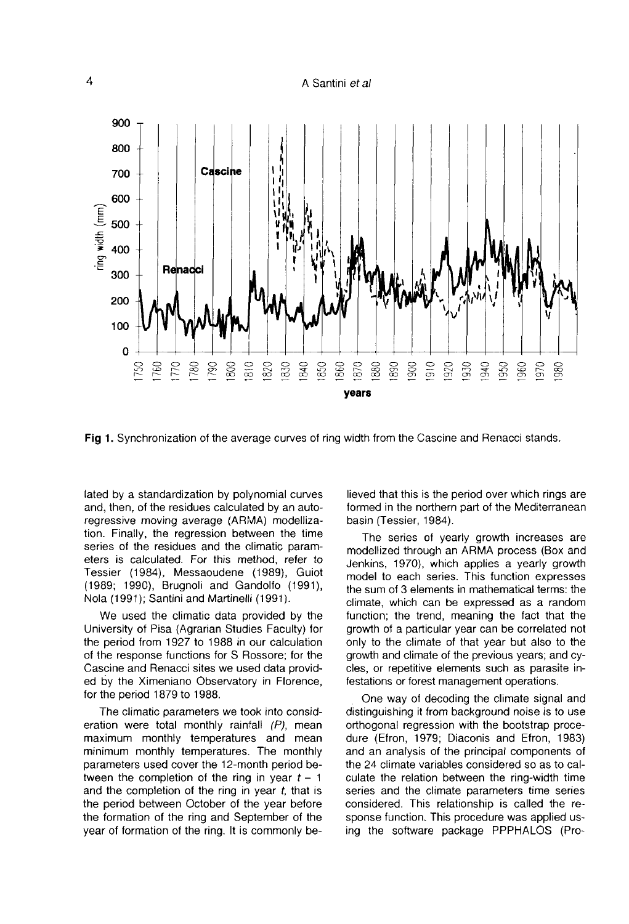

Fig 1. Synchronization of the average curves of ring width from the Cascine and Renacci stands.

lated by a standardization by polynomial curves and, then, of the residues calculated by an autoregressive moving average (ARMA) modellization. Finally, the regression between the time series of the residues and the climatic parameters is calculated. For this method, refer to Tessier (1984), Messaoudene (1989), Guiot (1989; 1990), Brugnoli and Gandolfo (1991), Nola (1991); Santini and Martinelli (1991).

We used the climatic data provided by the University of Pisa (Agrarian Studies Faculty) for the period from 1927 to 1988 in our calculation of the response functions for S Rossore; for the Cascine and Renacci sites we used data provided by the Ximeniano Observatory in Florence, for the period 1879 to 1988.

The climatic parameters we took into consideration were total monthly rainfall  $(P)$ , mean maximum monthly temperatures and mean minimum monthly temperatures. The monthly parameters used cover the 12-month period between the completion of the ring in year  $t - 1$ and the completion of the ring in year  $t$ , that is the period between October of the year before the formation of the ring and September of the year of formation of the ring. It is commonly believed that this is the period over which rings are formed in the northern part of the Mediterranean basin (Tessier, 1984).

The series of yearly growth increases are modellized through an ARMA process (Box and Jenkins, 1970), which applies a yearly growth model to each series. This function expresses the sum of 3 elements in mathematical terms: the climate, which can be expressed as a random function; the trend, meaning the fact that the growth of a particular year can be correlated not only to the climate of that year but also to the growth and climate of the previous years; and cycles, or repetitive elements such as parasite infestations or forest management operations.

One way of decoding the climate signal and distinguishing it from background noise is to use orthogonal regression with the bootstrap procedure (Efron, 1979; Diaconis and Efron, 1983) and an analysis of the principal components of the 24 climate variables considered so as to calculate the relation between the ring-width time series and the climate parameters time series considered. This relationship is called the response function. This procedure was applied using the software package PPPHALOS (Pro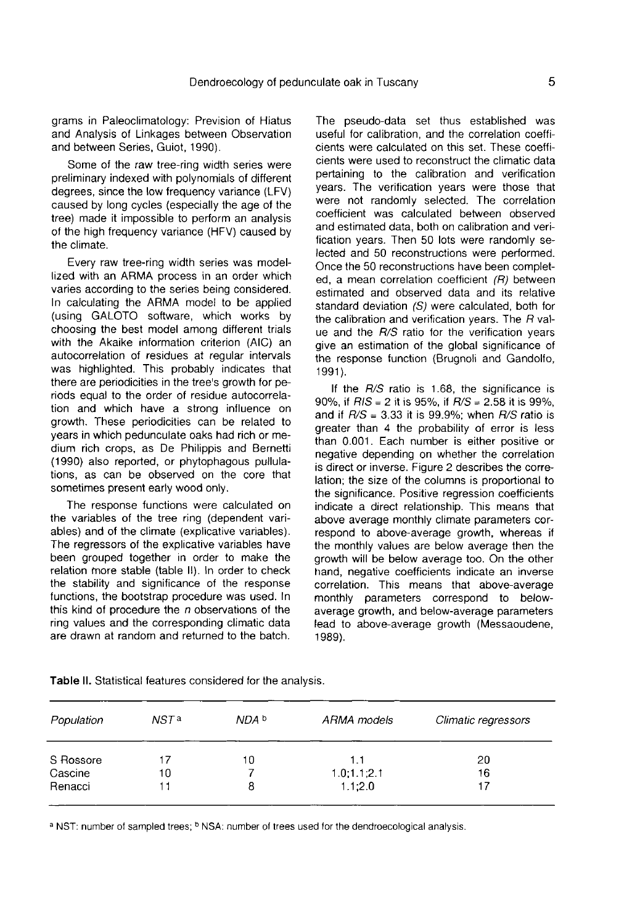grams in Paleoclimatology: Prevision of Hiatus and Analysis of Linkages between Observation and between Series, Guiot, 1990).

Some of the raw tree-ring width series were preliminary indexed with polynomials of different degrees, since the low frequency variance (LFV) caused by long cycles (especially the age of the tree) made it impossible to perform an analysis of the high frequency variance (HFV) caused by the climate.

Every raw tree-ring width series was modellized with an ARMA process in an order which varies according to the series being considered. In calculating the ARMA model to be applied (using GALOTO software, which works by choosing the best model among different trials with the Akaike information criterion (AIC) an autocorrelation of residues at regular intervals was highlighted. This probably indicates that there are periodicities in the tree's growth for periods equal to the order of residue autocorrelation and which have a strong influence on growth. These periodicities can be related to years in which pedunculate oaks had rich or medium rich crops, as De Philippis and Bernetti (1990) also reported, or phytophagous pullulations, as can be observed on the core that sometimes present early wood only.

The response functions were calculated on the variables of the tree ring (dependent variables) and of the climate (explicative variables). The regressors of the explicative variables have been grouped together in order to make the relation more stable (table II). In order to check the stability and significance of the response functions, the bootstrap procedure was used. In this kind of procedure the  $n$  observations of the ring values and the corresponding climatic data are drawn at random and returned to the batch.

The pseudo-data set thus established was useful for calibration, and the correlation coefficients were calculated on this set. These coefficients were used to reconstruct the climatic data pertaining to the calibration and verification years. The verification years were those that were not randomly selected. The correlation coefficient was calculated between observed and estimated data, both on calibration and verification years. Then 50 lots were randomly selected and 50 reconstructions were performed. Once the 50 reconstructions have been completed, a mean correlation coefficient (R) between estimated and observed data and its relative standard deviation (S) were calculated, both for the calibration and verification years. The  $R$  value and the R/S ratio for the verification years give an estimation of the global significance of the response function (Brugnoli and Gandolfo, 1991).

If the  $R/S$  ratio is 1.68, the significance is 90%, if  $RIS = 2$  it is 95%, if  $R/S = 2.58$  it is 99%. and if  $R/S = 3.33$  it is 99.9%; when  $R/S$  ratio is greater than 4 the probability of error is less than 0.001. Each number is either positive or negative depending on whether the correlation is direct or inverse. Figure 2 describes the correlation; the size of the columns is proportional to the significance. Positive regression coefficients indicate a direct relationship. This means that above average monthly climate parameters correspond to above-average growth, whereas if the monthly values are below average then the growth will be below average too. On the other hand, negative coefficients indicate an inverse correlation. This means that above-average monthly parameters correspond to belowaverage growth, and below-average parameters lead to above-average growth (Messaoudene, 1989).

| Population | NST <sup>a</sup> | NDA b | ARMA models   | Climatic regressors |
|------------|------------------|-------|---------------|---------------------|
| S Rossore  |                  | 10    | 1.1           | 20                  |
| Cascine    | 10               |       | 1.0; 1.1; 2.1 | 16                  |
| Renacci    |                  | 8     | 1.1:2.0       | 17                  |

Table II. Statistical features considered for the analysis.

a NST: number of sampled trees; <sup>b</sup> NSA: number of trees used for the dendroecological analysis.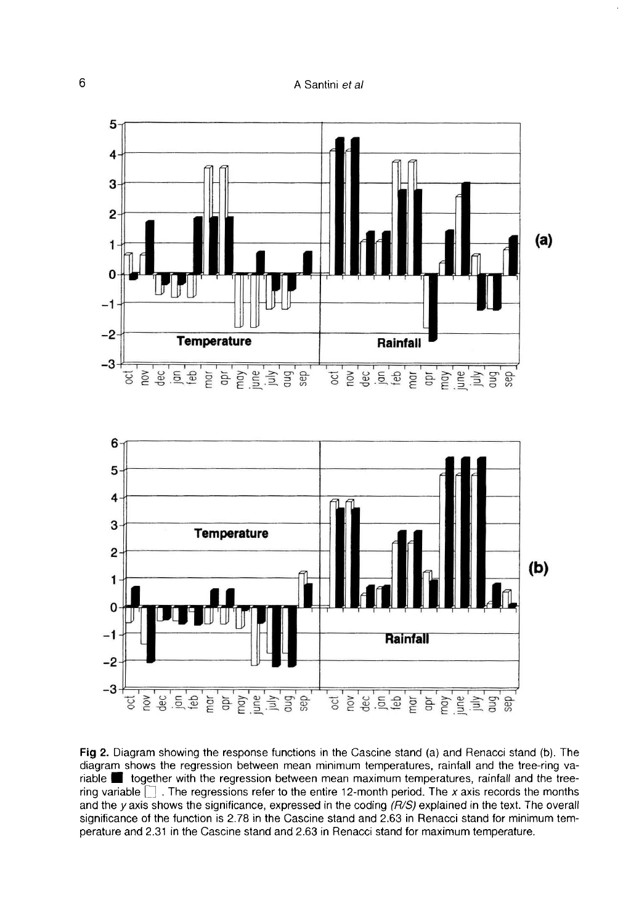

Fig 2. Diagram showing the response functions in the Cascine stand (a) and Renacci stand (b). The diagram shows the regression between mean minimum temperatures, rainfall and the tree-ring variable opether with the regression between mean maximum temperatures, rainfall and the treering variable  $\Box$ . The regressions refer to the entire 12-month period. The x axis records the months and the y axis shows the significance, expressed in the coding  $(R/S)$  explained in the text. The overall significance of the function is 2.78 in the Cascine stand and 2.63 in Renacci stand for minimum temperature and 2.31 in the Cascine stand and 2.63 in Renacci stand for maximum temperature.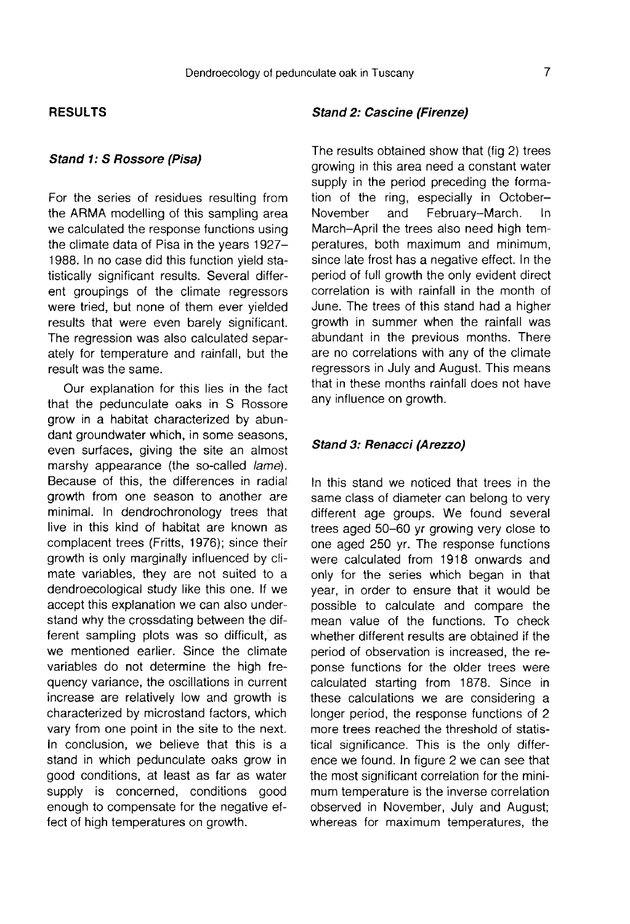#### RESULTS

### Stand 1: S Rossore (Pisa)

For the series of residues resulting from the ARMA modelling of this sampling area we calculated the response functions using the climate data of Pisa in the years 1927- 1988. In no case did this function yield statistically significant results. Several different groupings of the climate regressors were tried, but none of them ever yielded results that were even barely significant. The regression was also calculated separately for temperature and rainfall, but the result was the same.

Our explanation for this lies in the fact that the pedunculate oaks in S Rossore grow in a habitat characterized by abundant groundwater which, in some seasons, even surfaces, giving the site an almost marshy appearance (the so-called *lame*). Because of this, the differences in radial growth from one season to another are minimal. In dendrochronology trees that live in this kind of habitat are known as complacent trees (Fritts, 1976); since their growth is only marginally influenced by climate variables, they are not suited to a dendroecological study like this one. If we accept this explanation we can also understand why the crossdating between the different sampling plots was so difficult, as we mentioned earlier. Since the climate variables do not determine the high frequency variance, the oscillations in current increase are relatively low and growth is characterized by microstand factors, which vary from one point in the site to the next. In conclusion, we believe that this is a stand in which pedunculate oaks grow in good conditions, at least as far as water supply is concerned, conditions good enough to compensate for the negative effect of high temperatures on growth.

#### Stand 2: Cascine (Firenze)

The results obtained show that (fig 2) trees growing in this area need a constant water supply in the period preceding the formation of the ring, especially in October-<br>November and February-March, In November and February-March. March-April the trees also need high temperatures, both maximum and minimum, since late frost has a negative effect. In the period of full growth the only evident direct correlation is with rainfall in the month of June. The trees of this stand had a higher growth in summer when the rainfall was abundant in the previous months. There are no correlations with any of the climate regressors in July and August. This means that in these months rainfall does not have any influence on growth.

#### Stand 3: Renacci (Arezzo)

In this stand we noticed that trees in the same class of diameter can belong to very different age groups. We found several trees aged 50-60 yr growing very close to one aged 250 yr. The response functions were calculated from 1918 onwards and only for the series which began in that year, in order to ensure that it would be possible to calculate and compare the mean value of the functions. To check whether different results are obtained if the period of observation is increased, the reponse functions for the older trees were calculated starting from 1878. Since in these calculations we are considering a longer period, the response functions of 2 more trees reached the threshold of statistical significance. This is the only difference we found. In figure 2 we can see that the most significant correlation for the minimum temperature is the inverse correlation observed in November, July and August; whereas for maximum temperatures, the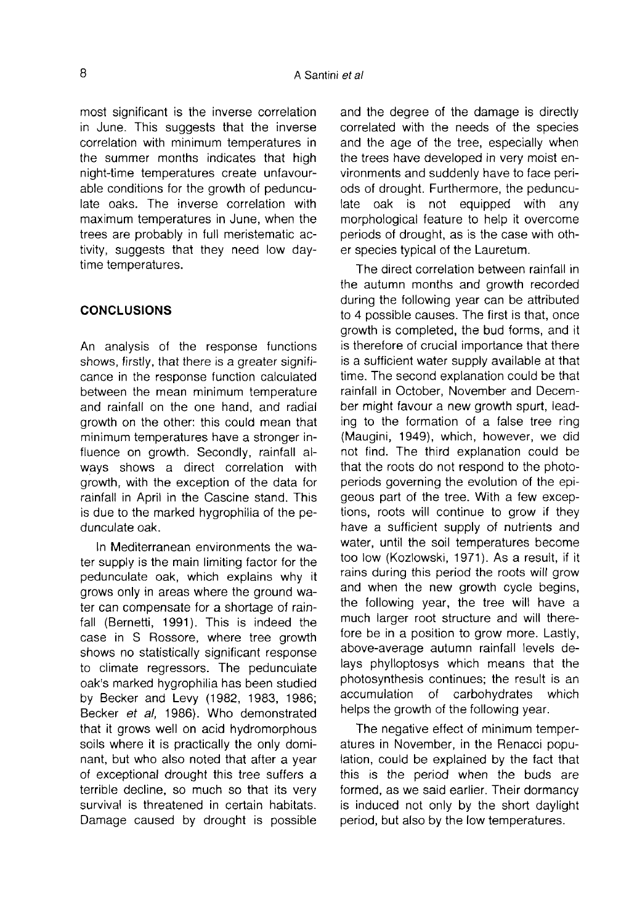most significant is the inverse correlation in June. This suggests that the inverse correlation with minimum temperatures in the summer months indicates that high night-time temperatures create unfavourable conditions for the growth of pedunculate oaks. The inverse correlation with maximum temperatures in June, when the trees are probably in full meristematic activity, suggests that they need low daytime temperatures.

#### **CONCLUSIONS**

An analysis of the response functions shows, firstly, that there is a greater signifi cance in the response function calculated between the mean minimum temperature and rainfall on the one hand, and radial growth on the other: this could mean that minimum temperatures have a stronger influence on growth. Secondly, rainfall always shows a direct correlation with growth, with the exception of the data for rainfall in April in the Cascine stand. This is due to the marked hygrophilia of the pedunculate oak.

In Mediterranean environments the water supply is the main limiting factor for the pedunculate oak, which explains why it grows only in areas where the ground water can compensate for a shortage of rainfall (Bernetti, 1991). This is indeed the case in S Rossore, where tree growth shows no statistically significant response to climate regressors. The pedunculate oak's marked hygrophilia has been studied by Becker and Levy (1982, 1983, 1986; Becker et al, 1986). Who demonstrated that it grows well on acid hydromorphous soils where it is practically the only dominant, but who also noted that after a year of exceptional drought this tree suffers a terrible decline, so much so that its very survival is threatened in certain habitats. Damage caused by drought is possible and the degree of the damage is directly correlated with the needs of the species and the age of the tree, especially when the trees have developed in very moist environments and suddenly have to face periods of drought. Furthermore, the pedunculate oak is not equipped with any morphological feature to help it overcome periods of drought, as is the case with other species typical of the Lauretum.

The direct correlation between rainfall in the autumn months and growth recorded during the following year can be attributed to 4 possible causes. The first is that, once growth is completed, the bud forms, and it is therefore of crucial importance that there is a sufficient water supply available at that time. The second explanation could be that rainfall in October, November and December might favour a new growth spurt, leading to the formation of a false tree ring (Maugini, 1949), which, however, we did not find. The third explanation could be that the roots do not respond to the photoperiods governing the evolution of the epigeous part of the tree. With a few exceptions, roots will continue to grow if they have a sufficient supply of nutrients and water, until the soil temperatures become too low (Kozlowski, 1971). As a result, if it rains during this period the roots will grow and when the new growth cycle begins, the following year, the tree will have a much larger root structure and will therefore be in a position to grow more. Lastly, above-average autumn rainfall levels delays phylloptosys which means that the photosynthesis continues; the result is an accumulation of carbohydrates which accumulation of carbohydrates helps the growth of the following year.

The negative effect of minimum temperatures in November, in the Renacci population, could be explained by the fact that this is the period when the buds are formed, as we said earlier. Their dormancy is induced not only by the short daylight period, but also by the low temperatures.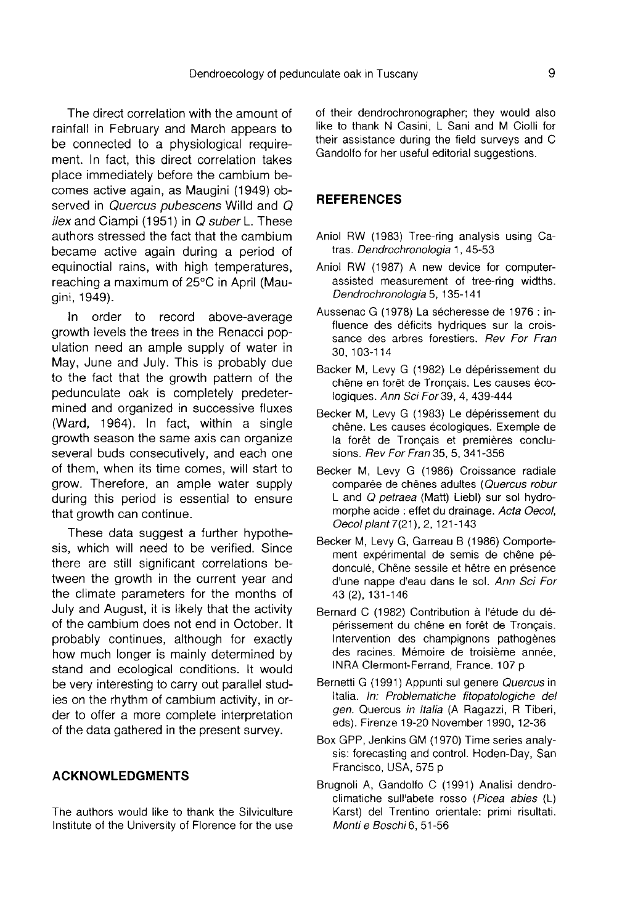The direct correlation with the amount of rainfall in February and March appears to be connected to a physiological requirement. In fact, this direct correlation takes place immediately before the cambium becomes active again, as Maugini (1949) observed in Quercus pubescens Willd and Q  $ilex$  and Ciampi (1951) in  $Q$  suber L. These authors stressed the fact that the cambium became active again during a period of equinoctial rains, with high temperatures, reaching a maximum of 25°C in April (Maugini, 1949).

In order to record above-average growth levels the trees in the Renacci population need an ample supply of water in May, June and July. This is probably due to the fact that the growth pattern of the pedunculate oak is completely predetermined and organized in successive fluxes (Ward, 1964). In fact, within a single growth season the same axis can organize several buds consecutively, and each one of them, when its time comes, will start to grow. Therefore, an ample water supply during this period is essential to ensure that growth can continue.

These data suggest a further hypothesis, which will need to be verified. Since there are still significant correlations between the growth in the current year and the climate parameters for the months of July and August, it is likely that the activity of the cambium does not end in October. It probably continues, although for exactly how much longer is mainly determined by stand and ecological conditions. It would be very interesting to carry out parallel studies on the rhythm of cambium activity, in order to offer a more complete interpretation of the data gathered in the present survey.

#### ACKNOWLEDGMENTS

The authors would like to thank the Silviculture Institute of the University of Florence for the use of their dendrochronographer; they would also like to thank N Casini, L Sani and M Ciolli for their assistance during the field surveys and C Gandolfo for her useful editorial suggestions.

#### **REFERENCES**

- Aniol RW (1983) Tree-ring analysis using Catras. Dendrochronologia 1, 45-53
- Aniol RW (1987) A new device for computerassisted measurement of tree-ring widths. Dendrochronologia 5, 135-141
- Aussenac G (1978) La sécheresse de 1976 : influence des déficits hydriques sur la croissance des arbres forestiers. Rev For Fran 30, 103-114
- Backer M, Levy G (1982) Le dépérissement du chêne en forêt de Tronçais. Les causes écologiques. Ann Sci For 39, 4, 439-444
- Becker M, Levy G (1983) Le dépérissement du chêne. Les causes écologiques. Exemple de la forêt de Tronçais et premières conclusions. Rev For Fran 35, 5, 341-356
- Becker M, Levy G (1986) Croissance radiale comparée de chênes adultes (Quercus robur L and Q petraea (Matt) Liebl) sur sol hydromorphe acide : effet du drainage. Acta Oecol, Oecol plant 7(21), 2, 121-143
- Becker M, Levy G, Garreau B (1986) Comporte ment experimental de semis de chêne pédonculé, Chêne sessile et hêtre en présence d'une nappe d'eau dans le sol. Ann Sci For 43 (2), 131-146
- Bernard C (1982) Contribution à l'étude du dépérissement du chêne en forêt de Tronçais. Intervention des champignons pathogènes des racines. Mémoire de troisième année, INRA Clermont-Ferrand, France. 107 p
- Bernetti G (1991) Appunti sul genere Quercus in Italia. In: Problematiche fitopatologiche del gen. Quercus in Italia (A Ragazzi, R Tiberi, eds). Firenze 19-20 November 1990, 12-36
- Box GPP, Jenkins GM (1970) Time series analysis: forecasting and control. Hoden-Day, San Francisco, USA, 575 p
- Brugnoli A, Gandolfo C (1991) Analisi dendroclimatiche sull'abete rosso (Picea abies (L) Karst) del Trentino orientale: primi risultati. Monti e Boschi 6, 51-56